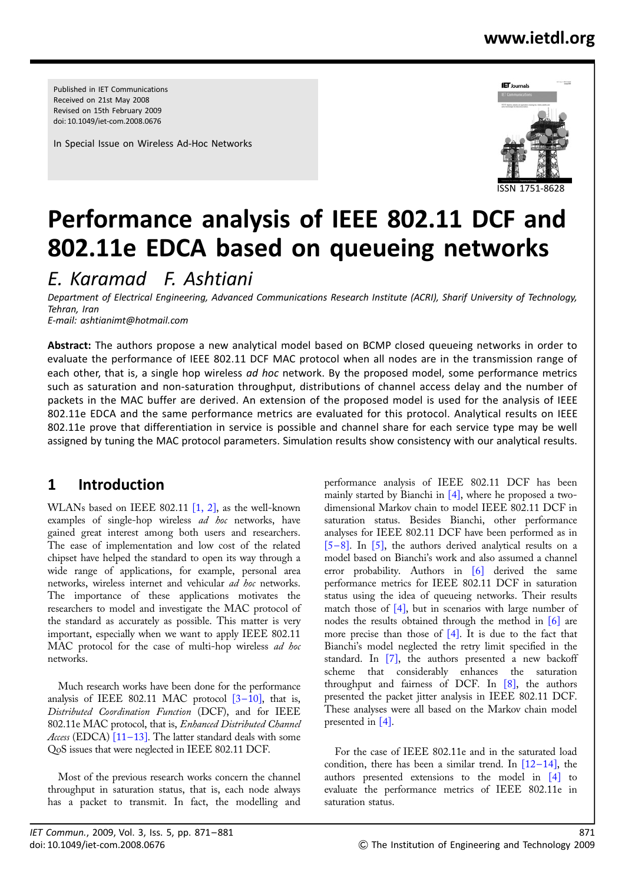# www.ietdl.org

Published in IET Communications Received on 21st May 2008 Revised on 15th February 2009 doi: 10.1049/iet-com.2008.0676

In Special Issue on Wireless Ad-Hoc Networks



# Performance analysis of IEEE 802.11 DCF and 802.11e EDCA based on queueing networks

E. Karamad F. Ashtiani

Department of Electrical Engineering, Advanced Communications Research Institute (ACRI), Sharif University of Technology, Tehran, Iran

E-mail: ashtianimt@hotmail.com

Abstract: The authors propose a new analytical model based on BCMP closed queueing networks in order to evaluate the performance of IEEE 802.11 DCF MAC protocol when all nodes are in the transmission range of each other, that is, a single hop wireless ad hoc network. By the proposed model, some performance metrics such as saturation and non-saturation throughput, distributions of channel access delay and the number of packets in the MAC buffer are derived. An extension of the proposed model is used for the analysis of IEEE 802.11e EDCA and the same performance metrics are evaluated for this protocol. Analytical results on IEEE 802.11e prove that differentiation in service is possible and channel share for each service type may be well assigned by tuning the MAC protocol parameters. Simulation results show consistency with our analytical results.

## 1 Introduction

WLANs based on IEEE 802.11 [1, 2], as the well-known examples of single-hop wireless ad hoc networks, have gained great interest among both users and researchers. The ease of implementation and low cost of the related chipset have helped the standard to open its way through a wide range of applications, for example, personal area networks, wireless internet and vehicular *ad hoc* networks. The importance of these applications motivates the researchers to model and investigate the MAC protocol of the standard as accurately as possible. This matter is very important, especially when we want to apply IEEE 802.11 MAC protocol for the case of multi-hop wireless ad hoc networks.

Much research works have been done for the performance analysis of IEEE 802.11 MAC protocol  $[3-10]$ , that is, Distributed Coordination Function (DCF), and for IEEE 802.11e MAC protocol, that is, Enhanced Distributed Channel *Access* (EDCA)  $[11-13]$ . The latter standard deals with some QoS issues that were neglected in IEEE 802.11 DCF.

Most of the previous research works concern the channel throughput in saturation status, that is, each node always has a packet to transmit. In fact, the modelling and

performance analysis of IEEE 802.11 DCF has been mainly started by Bianchi in [4], where he proposed a twodimensional Markov chain to model IEEE 802.11 DCF in saturation status. Besides Bianchi, other performance analyses for IEEE 802.11 DCF have been performed as in  $[5-8]$ . In  $[5]$ , the authors derived analytical results on a model based on Bianchi's work and also assumed a channel error probability. Authors in [6] derived the same performance metrics for IEEE 802.11 DCF in saturation status using the idea of queueing networks. Their results match those of [4], but in scenarios with large number of nodes the results obtained through the method in [6] are more precise than those of  $[4]$ . It is due to the fact that Bianchi's model neglected the retry limit specified in the standard. In [7], the authors presented a new backoff scheme that considerably enhances the saturation throughput and fairness of DCF. In [8], the authors presented the packet jitter analysis in IEEE 802.11 DCF. These analyses were all based on the Markov chain model presented in [4].

For the case of IEEE 802.11e and in the saturated load condition, there has been a similar trend. In  $[12-14]$ , the authors presented extensions to the model in [4] to evaluate the performance metrics of IEEE 802.11e in saturation status.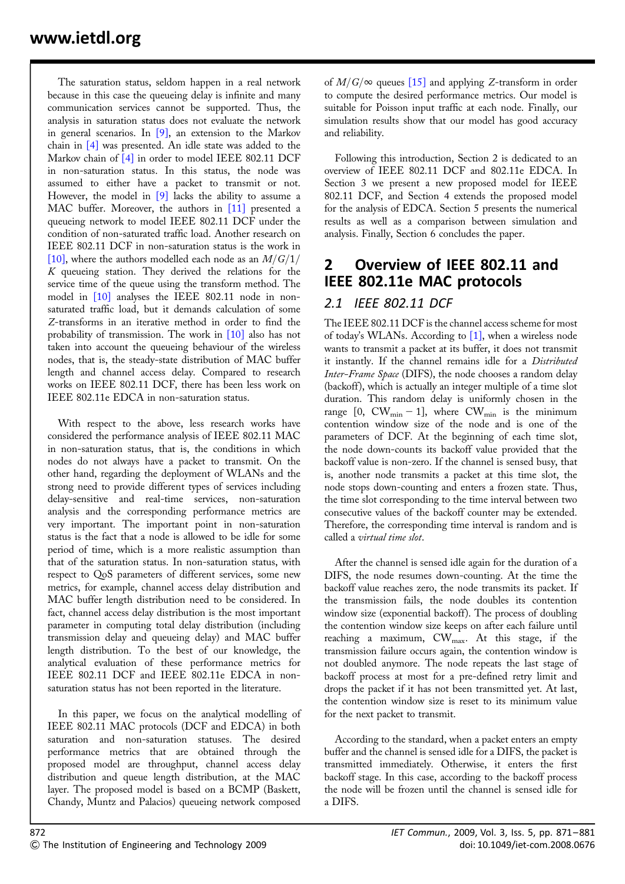The saturation status, seldom happen in a real network because in this case the queueing delay is infinite and many communication services cannot be supported. Thus, the analysis in saturation status does not evaluate the network in general scenarios. In [9], an extension to the Markov chain in [4] was presented. An idle state was added to the Markov chain of [4] in order to model IEEE 802.11 DCF in non-saturation status. In this status, the node was assumed to either have a packet to transmit or not. However, the model in [9] lacks the ability to assume a MAC buffer. Moreover, the authors in [11] presented a queueing network to model IEEE 802.11 DCF under the condition of non-saturated traffic load. Another research on IEEE 802.11 DCF in non-saturation status is the work in [10], where the authors modelled each node as an  $M/G/1/$  $K$  queueing station. They derived the relations for the service time of the queue using the transform method. The model in [10] analyses the IEEE 802.11 node in nonsaturated traffic load, but it demands calculation of some Z-transforms in an iterative method in order to find the probability of transmission. The work in [10] also has not taken into account the queueing behaviour of the wireless nodes, that is, the steady-state distribution of MAC buffer length and channel access delay. Compared to research works on IEEE 802.11 DCF, there has been less work on IEEE 802.11e EDCA in non-saturation status.

With respect to the above, less research works have considered the performance analysis of IEEE 802.11 MAC in non-saturation status, that is, the conditions in which nodes do not always have a packet to transmit. On the other hand, regarding the deployment of WLANs and the strong need to provide different types of services including delay-sensitive and real-time services, non-saturation analysis and the corresponding performance metrics are very important. The important point in non-saturation status is the fact that a node is allowed to be idle for some period of time, which is a more realistic assumption than that of the saturation status. In non-saturation status, with respect to QoS parameters of different services, some new metrics, for example, channel access delay distribution and MAC buffer length distribution need to be considered. In fact, channel access delay distribution is the most important parameter in computing total delay distribution (including transmission delay and queueing delay) and MAC buffer length distribution. To the best of our knowledge, the analytical evaluation of these performance metrics for IEEE 802.11 DCF and IEEE 802.11e EDCA in nonsaturation status has not been reported in the literature.

In this paper, we focus on the analytical modelling of IEEE 802.11 MAC protocols (DCF and EDCA) in both saturation and non-saturation statuses. The desired performance metrics that are obtained through the proposed model are throughput, channel access delay distribution and queue length distribution, at the MAC layer. The proposed model is based on a BCMP (Baskett, Chandy, Muntz and Palacios) queueing network composed

of  $M/G/\infty$  queues [15] and applying Z-transform in order to compute the desired performance metrics. Our model is suitable for Poisson input traffic at each node. Finally, our simulation results show that our model has good accuracy and reliability.

Following this introduction, Section 2 is dedicated to an overview of IEEE 802.11 DCF and 802.11e EDCA. In Section 3 we present a new proposed model for IEEE 802.11 DCF, and Section 4 extends the proposed model for the analysis of EDCA. Section 5 presents the numerical results as well as a comparison between simulation and analysis. Finally, Section 6 concludes the paper.

# 2 Overview of IEEE 802.11 and IEEE 802.11e MAC protocols

### 2.1 IEEE 802.11 DCF

The IEEE 802.11 DCF is the channel access scheme for most of today's WLANs. According to [1], when a wireless node wants to transmit a packet at its buffer, it does not transmit it instantly. If the channel remains idle for a Distributed Inter-Frame Space (DIFS), the node chooses a random delay (backoff), which is actually an integer multiple of a time slot duration. This random delay is uniformly chosen in the range [0,  $CW_{min} - 1$ ], where  $CW_{min}$  is the minimum contention window size of the node and is one of the parameters of DCF. At the beginning of each time slot, the node down-counts its backoff value provided that the backoff value is non-zero. If the channel is sensed busy, that is, another node transmits a packet at this time slot, the node stops down-counting and enters a frozen state. Thus, the time slot corresponding to the time interval between two consecutive values of the backoff counter may be extended. Therefore, the corresponding time interval is random and is called a virtual time slot.

After the channel is sensed idle again for the duration of a DIFS, the node resumes down-counting. At the time the backoff value reaches zero, the node transmits its packet. If the transmission fails, the node doubles its contention window size (exponential backoff). The process of doubling the contention window size keeps on after each failure until reaching a maximum,  $CW_{\text{max}}$ . At this stage, if the transmission failure occurs again, the contention window is not doubled anymore. The node repeats the last stage of backoff process at most for a pre-defined retry limit and drops the packet if it has not been transmitted yet. At last, the contention window size is reset to its minimum value for the next packet to transmit.

According to the standard, when a packet enters an empty buffer and the channel is sensed idle for a DIFS, the packet is transmitted immediately. Otherwise, it enters the first backoff stage. In this case, according to the backoff process the node will be frozen until the channel is sensed idle for a DIFS.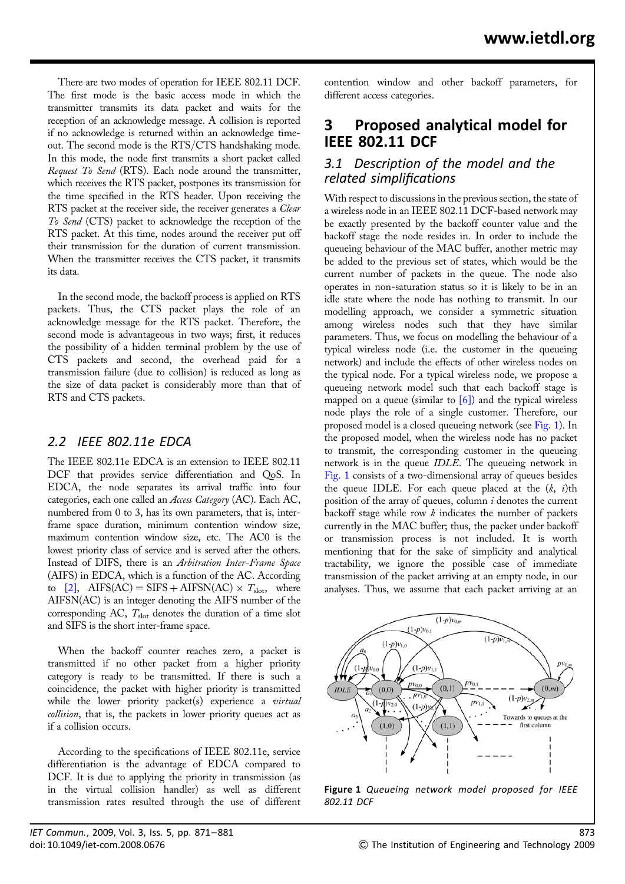There are two modes of operation for IEEE 802.11 DCF. The first mode is the basic access mode in which the transmitter transmits its data packet and waits for the reception of an acknowledge message. A collision is reported if no acknowledge is returned within an acknowledge timeout. The second mode is the RTS/CTS handshaking mode. In this mode, the node first transmits a short packet called Request To Send (RTS). Each node around the transmitter, which receives the RTS packet, postpones its transmission for the time specified in the RTS header. Upon receiving the RTS packet at the receiver side, the receiver generates a *Clear* To Send (CTS) packet to acknowledge the reception of the RTS packet. At this time, nodes around the receiver put off their transmission for the duration of current transmission. When the transmitter receives the CTS packet, it transmits its data.

In the second mode, the backoff process is applied on RTS packets. Thus, the CTS packet plays the role of an acknowledge message for the RTS packet. Therefore, the second mode is advantageous in two ways; first, it reduces the possibility of a hidden terminal problem by the use of CTS packets and second, the overhead paid for a transmission failure (due to collision) is reduced as long as the size of data packet is considerably more than that of RTS and CTS packets.

#### 2.2 IEEE 802.11e EDCA

The IEEE 802.11e EDCA is an extension to IEEE 802.11 DCF that provides service differentiation and QoS. In EDCA, the node separates its arrival traffic into four categories, each one called an Access Category (AC). Each AC, numbered from 0 to 3, has its own parameters, that is, interframe space duration, minimum contention window size, maximum contention window size, etc. The AC0 is the lowest priority class of service and is served after the others. Instead of DIFS, there is an Arbitration Inter-Frame Space (AIFS) in EDCA, which is a function of the AC. According to [2],  $AIFS(AC) = SIFS + AIFSN(AC) \times T_{slot}$ , where AIFSN(AC) is an integer denoting the AIFS number of the corresponding AC, Tslot denotes the duration of a time slot and SIFS is the short inter-frame space.

When the backoff counter reaches zero, a packet is transmitted if no other packet from a higher priority category is ready to be transmitted. If there is such a coincidence, the packet with higher priority is transmitted while the lower priority packet(s) experience a *virtual* collision, that is, the packets in lower priority queues act as if a collision occurs.

According to the specifications of IEEE 802.11e, service differentiation is the advantage of EDCA compared to DCF. It is due to applying the priority in transmission (as in the virtual collision handler) as well as different transmission rates resulted through the use of different

contention window and other backoff parameters, for different access categories.

# 3 Proposed analytical model for IEEE 802.11 DCF

## 3.1 Description of the model and the related simplifications

With respect to discussions in the previous section, the state of a wireless node in an IEEE 802.11 DCF-based network may be exactly presented by the backoff counter value and the backoff stage the node resides in. In order to include the queueing behaviour of the MAC buffer, another metric may be added to the previous set of states, which would be the current number of packets in the queue. The node also operates in non-saturation status so it is likely to be in an idle state where the node has nothing to transmit. In our modelling approach, we consider a symmetric situation among wireless nodes such that they have similar parameters. Thus, we focus on modelling the behaviour of a typical wireless node (i.e. the customer in the queueing network) and include the effects of other wireless nodes on the typical node. For a typical wireless node, we propose a queueing network model such that each backoff stage is mapped on a queue (similar to  $\lceil 6 \rceil$ ) and the typical wireless node plays the role of a single customer. Therefore, our proposed model is a closed queueing network (see Fig. 1). In the proposed model, when the wireless node has no packet to transmit, the corresponding customer in the queueing network is in the queue IDLE. The queueing network in Fig. 1 consists of a two-dimensional array of queues besides the queue IDLE. For each queue placed at the  $(k, i)$ th position of the array of queues, column  $i$  denotes the current backoff stage while row  $k$  indicates the number of packets currently in the MAC buffer; thus, the packet under backoff or transmission process is not included. It is worth mentioning that for the sake of simplicity and analytical tractability, we ignore the possible case of immediate transmission of the packet arriving at an empty node, in our analyses. Thus, we assume that each packet arriving at an



Figure 1 Queueing network model proposed for IEEE 802.11 DCF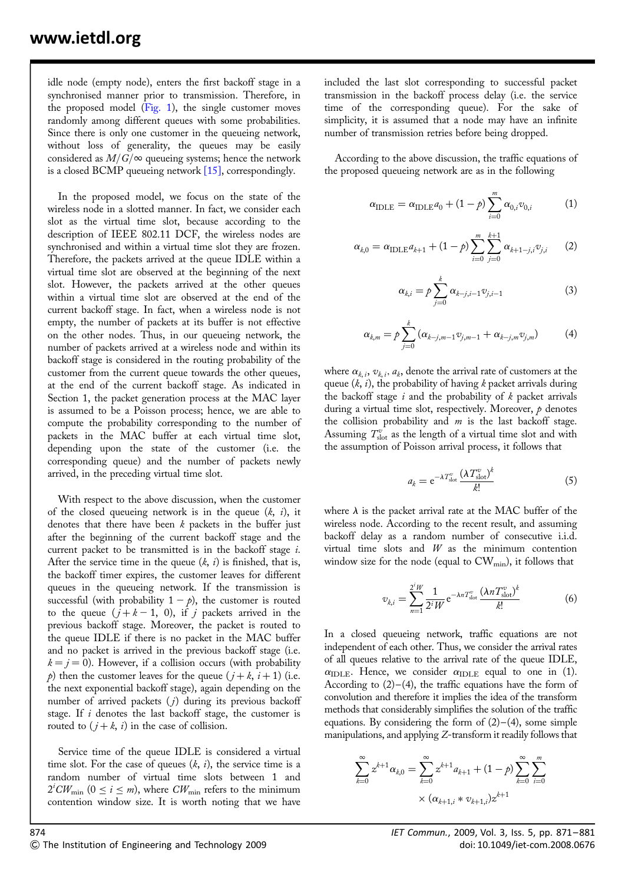idle node (empty node), enters the first backoff stage in a synchronised manner prior to transmission. Therefore, in the proposed model (Fig. 1), the single customer moves randomly among different queues with some probabilities. Since there is only one customer in the queueing network, without loss of generality, the queues may be easily considered as  $M/G/\infty$  queueing systems; hence the network is a closed BCMP queueing network [15], correspondingly.

In the proposed model, we focus on the state of the wireless node in a slotted manner. In fact, we consider each slot as the virtual time slot, because according to the description of IEEE 802.11 DCF, the wireless nodes are synchronised and within a virtual time slot they are frozen. Therefore, the packets arrived at the queue IDLE within a virtual time slot are observed at the beginning of the next slot. However, the packets arrived at the other queues within a virtual time slot are observed at the end of the current backoff stage. In fact, when a wireless node is not empty, the number of packets at its buffer is not effective on the other nodes. Thus, in our queueing network, the number of packets arrived at a wireless node and within its backoff stage is considered in the routing probability of the customer from the current queue towards the other queues, at the end of the current backoff stage. As indicated in Section 1, the packet generation process at the MAC layer is assumed to be a Poisson process; hence, we are able to compute the probability corresponding to the number of packets in the MAC buffer at each virtual time slot, depending upon the state of the customer (i.e. the corresponding queue) and the number of packets newly arrived, in the preceding virtual time slot.

With respect to the above discussion, when the customer of the closed queueing network is in the queue  $(k, i)$ , it denotes that there have been  $k$  packets in the buffer just after the beginning of the current backoff stage and the current packet to be transmitted is in the backoff stage i. After the service time in the queue  $(k, i)$  is finished, that is, the backoff timer expires, the customer leaves for different queues in the queueing network. If the transmission is successful (with probability  $1 - p$ ), the customer is routed to the queue  $(j + k - 1, 0)$ , if j packets arrived in the previous backoff stage. Moreover, the packet is routed to the queue IDLE if there is no packet in the MAC buffer and no packet is arrived in the previous backoff stage (i.e.  $k = j = 0$ ). However, if a collision occurs (with probability p) then the customer leaves for the queue  $(j + k, i + 1)$  (i.e. the next exponential backoff stage), again depending on the number of arrived packets  $(j)$  during its previous backoff stage. If i denotes the last backoff stage, the customer is routed to  $(j + k, i)$  in the case of collision.

Service time of the queue IDLE is considered a virtual time slot. For the case of queues  $(k, i)$ , the service time is a random number of virtual time slots between 1 and  $2^{i}CW_{\min}$  (0  $\leq i \leq m$ ), where  $CW_{\min}$  refers to the minimum contention window size. It is worth noting that we have included the last slot corresponding to successful packet transmission in the backoff process delay (i.e. the service time of the corresponding queue). For the sake of simplicity, it is assumed that a node may have an infinite number of transmission retries before being dropped.

According to the above discussion, the traffic equations of the proposed queueing network are as in the following

$$
\alpha_{\text{IDLE}} = \alpha_{\text{IDLE}} a_0 + (1 - p) \sum_{i=0}^{m} \alpha_{0,i} v_{0,i} \tag{1}
$$

$$
\alpha_{k,0} = \alpha_{\text{IDLE}} a_{k+1} + (1 - p) \sum_{i=0}^{m} \sum_{j=0}^{k+1} \alpha_{k+1-j,i} v_{j,i} \qquad (2)
$$

$$
\alpha_{k,i} = p \sum_{j=0}^{k} \alpha_{k-j,i-1} v_{j,i-1}
$$
 (3)

$$
\alpha_{k,m} = p \sum_{j=0}^{k} (\alpha_{k-j,m-1} v_{j,m-1} + \alpha_{k-j,m} v_{j,m})
$$
 (4)

where  $\alpha_{k,i}, v_{k,i}, a_k$ , denote the arrival rate of customers at the queue  $(k, i)$ , the probability of having  $k$  packet arrivals during the backoff stage  $i$  and the probability of  $k$  packet arrivals during a virtual time slot, respectively. Moreover,  $p$  denotes the collision probability and  $m$  is the last backoff stage. Assuming  $T_{\text{slot}}^v$  as the length of a virtual time slot and with the assumption of Poisson arrival process, it follows that

$$
a_k = e^{-\lambda T_{\text{slot}}^v} \frac{(\lambda T_{\text{slot}}^v)^k}{k!}
$$
 (5)

where  $\lambda$  is the packet arrival rate at the MAC buffer of the wireless node. According to the recent result, and assuming backoff delay as a random number of consecutive i.i.d. virtual time slots and  $W$  as the minimum contention window size for the node (equal to  $CW_{min}$ ), it follows that

$$
v_{k,i} = \sum_{n=1}^{2^i W} \frac{1}{2^i W} e^{-\lambda n T_{\text{slot}}^v} \frac{(\lambda n T_{\text{slot}}^v)^k}{k!}
$$
 (6)

In a closed queueing network, traffic equations are not independent of each other. Thus, we consider the arrival rates of all queues relative to the arrival rate of the queue IDLE,  $\alpha_{\text{IDLE}}$ . Hence, we consider  $\alpha_{\text{IDLE}}$  equal to one in (1). According to  $(2)$ – $(4)$ , the traffic equations have the form of convolution and therefore it implies the idea of the transform methods that considerably simplifies the solution of the traffic equations. By considering the form of  $(2)$ – $(4)$ , some simple manipulations, and applying Z-transform it readily follows that

$$
\sum_{k=0}^{\infty} z^{k+1} \alpha_{k,0} = \sum_{k=0}^{\infty} z^{k+1} a_{k+1} + (1-p) \sum_{k=0}^{\infty} \sum_{i=0}^{m}
$$

$$
\times (\alpha_{k+1,i} * v_{k+1,i}) z^{k+1}
$$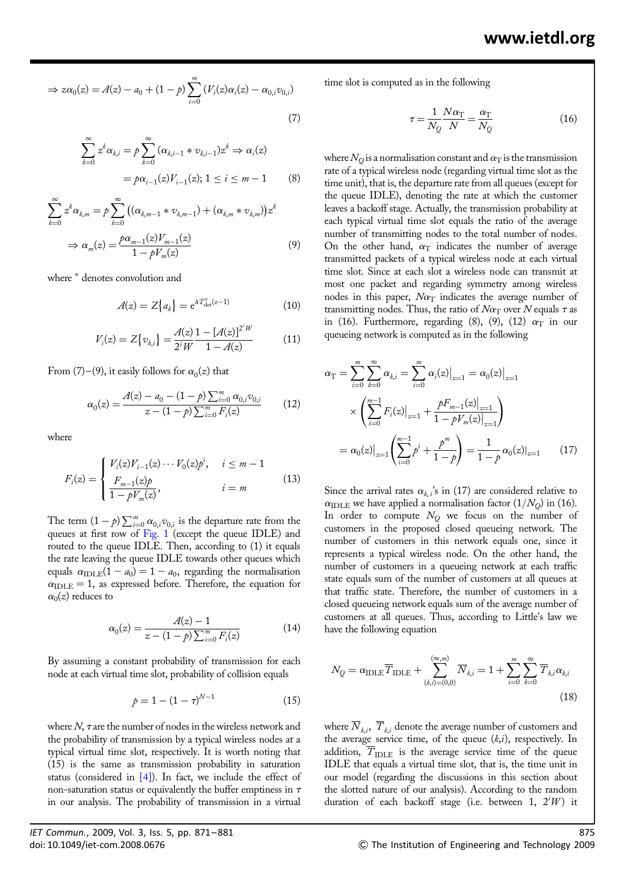$$
\Rightarrow z\alpha_0(z) = A(z) - a_0 + (1 - p) \sum_{i=0}^{m} (V_i(z)\alpha_i(z) - \alpha_{0,i}v_{0,i})
$$
\n(7)

$$
\sum_{k=0}^{\infty} z^{k} \alpha_{k,i} = p \sum_{k=0}^{\infty} (\alpha_{k,i-1} * v_{k,i-1}) z^{k} \Rightarrow \alpha_{i}(z)
$$

$$
= p \alpha_{i-1}(z) V_{i-1}(z); 1 \le i \le m - 1
$$
(8)

$$
\sum_{k=0}^{\infty} z^k \alpha_{k,m} = p \sum_{k=0}^{\infty} \left( (\alpha_{k,m-1} * v_{k,m-1}) + (\alpha_{k,m} * v_{k,m}) \right) z^k
$$

$$
\Rightarrow \alpha_m(z) = \frac{p \alpha_{m-1}(z) V_{m-1}(z)}{1 - p V_m(z)} \tag{9}
$$

where  $*$  denotes convolution and

$$
A(z) = Z\{a_k\} = e^{\lambda T_{\text{slot}}^v(z-1)}
$$
\n(10)

$$
V_i(z) = Z\{v_{k,i}\} = \frac{A(z)}{2^i W} \frac{1 - [A(z)]^{2^i W}}{1 - A(z)}
$$
(11)

From (7)–(9), it easily follows for  $\alpha_0(z)$  that

$$
\alpha_0(z) = \frac{A(z) - a_0 - (1 - p) \sum_{i=0}^{m} \alpha_{0,i} v_{0,i}}{z - (1 - p) \sum_{i=0}^{m} F_i(z)}
$$
(12)

where

$$
F_i(z) = \begin{cases} V_i(z)V_{i-1}(z)\cdots V_0(z)p^i, & i \leq m-1\\ \frac{F_{m-1}(z)p}{1 - pV_m(z)}, & i = m \end{cases}
$$
(13)

The term  $(1-p)\sum_{i=0}^m \alpha_{0,i}v_{0,i}$  is the departure rate from the queues at first row of  $Fig. 1$  (except the queue IDLE) and routed to the queue IDLE. Then, according to (1) it equals the rate leaving the queue IDLE towards other queues which equals  $\alpha_{\text{IDLE}}(1 - a_0) = 1 - a_0$ , regarding the normalisation  $\alpha_{\text{IDLE}} = 1$ , as expressed before. Therefore, the equation for  $\alpha_0(z)$  reduces to

$$
\alpha_0(z) = \frac{A(z) - 1}{z - (1 - p) \sum_{i=0}^{m} F_i(z)}
$$
(14)

By assuming a constant probability of transmission for each node at each virtual time slot, probability of collision equals

$$
p = 1 - (1 - \tau)^{N-1} \tag{15}
$$

where  $N$ ,  $\tau$  are the number of nodes in the wireless network and the probability of transmission by a typical wireless nodes at a typical virtual time slot, respectively. It is worth noting that (15) is the same as transmission probability in saturation status (considered in  $[4]$ ). In fact, we include the effect of non-saturation status or equivalently the buffer emptiness in  $\tau$ in our analysis. The probability of transmission in a virtual time slot is computed as in the following

$$
\tau = \frac{1}{N_Q} \frac{N \alpha_{\rm T}}{N} = \frac{\alpha_{\rm T}}{N_Q} \tag{16}
$$

where  $N_{\Omega}$  is a normalisation constant and  $\alpha_{\text{T}}$  is the transmission rate of a typical wireless node (regarding virtual time slot as the time unit), that is, the departure rate from all queues (except for the queue IDLE), denoting the rate at which the customer leaves a backoff stage. Actually, the transmission probability at each typical virtual time slot equals the ratio of the average number of transmitting nodes to the total number of nodes. On the other hand,  $\alpha_T$  indicates the number of average transmitted packets of a typical wireless node at each virtual time slot. Since at each slot a wireless node can transmit at most one packet and regarding symmetry among wireless nodes in this paper,  $N\alpha_T$  indicates the average number of transmitting nodes. Thus, the ratio of  $N\alpha_T$  over N equals  $\tau$  as in (16). Furthermore, regarding (8), (9), (12)  $\alpha_T$  in our queueing network is computed as in the following

$$
\alpha_{\rm T} = \sum_{i=0}^{m} \sum_{k=0}^{\infty} \alpha_{k,i} = \sum_{i=0}^{m} \alpha_{i}(z) \big|_{z=1} = \alpha_{0}(z) \big|_{z=1}
$$

$$
\times \left( \sum_{i=0}^{m-1} F_{i}(z) \big|_{z=1} + \frac{p F_{m-1}(z) \big|_{z=1}}{1 - p V_{m}(z) \big|_{z=1}} \right)
$$

$$
= \alpha_{0}(z) \big|_{z=1} \left( \sum_{i=0}^{m-1} p^{i} + \frac{p^{m}}{1 - p} \right) = \frac{1}{1 - p} \alpha_{0}(z) \big|_{z=1} \qquad (17)
$$

Since the arrival rates  $\alpha_{k,i}$ 's in (17) are considered relative to  $\alpha_{\text{IDLE}}$  we have applied a normalisation factor (1/N<sub>Q</sub>) in (16). In order to compute  $N_Q$  we focus on the number of customers in the proposed closed queueing network. The number of customers in this network equals one, since it represents a typical wireless node. On the other hand, the number of customers in a queueing network at each traffic state equals sum of the number of customers at all queues at that traffic state. Therefore, the number of customers in a closed queueing network equals sum of the average number of customers at all queues. Thus, according to Little's law we have the following equation

$$
N_Q = \alpha_{\text{IDLE}} \overline{T}_{\text{IDLE}} + \sum_{(k,i)=(0,0)}^{(\infty,m)} \overline{N}_{k,i} = 1 + \sum_{i=0}^{m} \sum_{k=0}^{\infty} \overline{T}_{k,i} \alpha_{k,i}
$$
\n(18)

where  $\overline{N}_{k,i}$ ,  $\overline{T}_{k,i}$  denote the average number of customers and the average service time, of the queue  $(k,i)$ , respectively. In addition,  $\overline{T}_{\text{IDLE}}$  is the average service time of the queue IDLE that equals a virtual time slot, that is, the time unit in our model (regarding the discussions in this section about the slotted nature of our analysis). According to the random duration of each backoff stage (i.e. between 1,  $2^iW$ ) it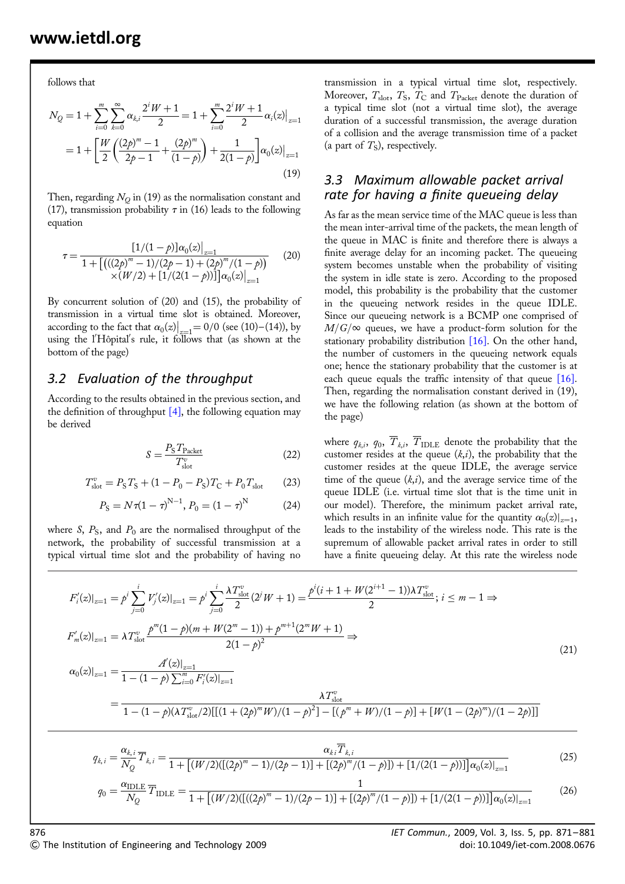follows that

$$
N_Q = 1 + \sum_{i=0}^{m} \sum_{k=0}^{\infty} \alpha_{k,i} \frac{2^i W + 1}{2} = 1 + \sum_{i=0}^{m} \frac{2^i W + 1}{2} \alpha_i(z)|_{z=1}
$$
  
= 
$$
1 + \left[ \frac{W}{2} \left( \frac{(2p)^m - 1}{2p - 1} + \frac{(2p)^m}{(1-p)} \right) + \frac{1}{2(1-p)} \right] \alpha_0(z)|_{z=1}
$$
(19)

Then, regarding  $N<sub>O</sub>$  in (19) as the normalisation constant and (17), transmission probability  $\tau$  in (16) leads to the following equation

$$
\tau = \frac{\left[1/(1-p)\right]\alpha_0(z)\big|_{z=1}}{1 + \left[\left(((2p)^m - 1)/(2p - 1) + (2p)^m/(1-p)\right) - \times (W/2) + \left[1/(2(1-p))\right]\right]\alpha_0(z)\big|_{z=1}}\tag{20}
$$

By concurrent solution of (20) and (15), the probability of transmission in a virtual time slot is obtained. Moreover, according to the fact that  $\alpha_0(z)|_{z=1} = 0/0$  (see (10)–(14)), by using the l'Hôpital's rule, it follows that (as shown at the bottom of the page)

#### 3.2 Evaluation of the throughput

According to the results obtained in the previous section, and the definition of throughput  $[4]$ , the following equation may be derived

$$
S = \frac{P_{\rm S} T_{\rm Packet}}{T_{\rm slot}^v} \tag{22}
$$

$$
T_{\text{slot}}^v = P_{\text{S}} T_{\text{S}} + (1 - P_0 - P_{\text{S}}) T_{\text{C}} + P_0 T_{\text{slot}} \tag{23}
$$

$$
P_{\rm S} = N\tau (1-\tau)^{N-1}, P_0 = (1-\tau)^N \tag{24}
$$

where S,  $P_{\rm S}$ , and  $P_{\rm 0}$  are the normalised throughput of the network, the probability of successful transmission at a typical virtual time slot and the probability of having no

transmission in a typical virtual time slot, respectively. Moreover,  $T_{\text{slot}}$ ,  $T_{\text{S}}$ ,  $T_{\text{C}}$  and  $T_{\text{Packet}}$  denote the duration of a typical time slot (not a virtual time slot), the average duration of a successful transmission, the average duration of a collision and the average transmission time of a packet (a part of  $T_s$ ), respectively.

#### 3.3 Maximum allowable packet arrival rate for having a finite queueing delay

As far as the mean service time of the MAC queue is less than the mean inter-arrival time of the packets, the mean length of the queue in MAC is finite and therefore there is always a finite average delay for an incoming packet. The queueing system becomes unstable when the probability of visiting the system in idle state is zero. According to the proposed model, this probability is the probability that the customer in the queueing network resides in the queue IDLE. Since our queueing network is a BCMP one comprised of  $M/G/\infty$  queues, we have a product-form solution for the stationary probability distribution [16]. On the other hand, the number of customers in the queueing network equals one; hence the stationary probability that the customer is at each queue equals the traffic intensity of that queue  $[16]$ . Then, regarding the normalisation constant derived in (19), we have the following relation (as shown at the bottom of the page)

where  $q_{k,i}$ ,  $q_0$ ,  $\overline{T}_{k,i}$ ,  $\overline{T}_{\text{IDLE}}$  denote the probability that the customer resides at the queue  $(k,i)$ , the probability that the customer resides at the queue IDLE, the average service time of the queue  $(k,i)$ , and the average service time of the queue IDLE (i.e. virtual time slot that is the time unit in our model). Therefore, the minimum packet arrival rate, which results in an infinite value for the quantity  $\alpha_0(z)|_{z=1}$ , leads to the instability of the wireless node. This rate is the supremum of allowable packet arrival rates in order to still have a finite queueing delay. At this rate the wireless node

$$
F'_{i}(z)|_{z=1} = p^{i} \sum_{j=0}^{i} V'_{j}(z)|_{z=1} = p^{i} \sum_{j=0}^{i} \frac{\lambda T_{\text{slot}}^{v}}{2} (2^{j}W + 1) = \frac{p^{i}(i+1+W(2^{i+1}-1))\lambda T_{\text{slot}}^{v}}{2}; i \leq m-1 \Rightarrow
$$
  
\n
$$
F'_{m}(z)|_{z=1} = \lambda T_{\text{slot}}^{v} \frac{p^{m}(1-p)(m+W(2^{m}-1)) + p^{m+1}(2^{m}W + 1)}{2(1-p)^{2}} \Rightarrow
$$
  
\n
$$
\alpha_{0}(z)|_{z=1} = \frac{A'(z)|_{z=1}}{1 - (1-p)\sum_{j=0}^{m} F'(z)!}
$$
\n(21)

$$
z=1 = \frac{1 - (1 - p)\sum_{i=0}^{n} F'_i(z)|_{z=1}}{1 - (1 - p)(\lambda T_{\text{slot}}^v/2)[[(1 + (2p)^m W)/(1 - p)^2] - [(\rho^m + W)/(1 - p)] + [W(1 - (2p)^m)/(1 - 2p)]]}
$$

$$
q_{k,i} = \frac{\alpha_{k,i}}{N_Q} \overline{T}_{k,i} = \frac{\alpha_{k,i} \overline{T}_{k,i}}{1 + [(W/2)((2p)^m - 1)/(2p - 1)] + [(2p)^m/(1 - p)]) + [1/(2(1 - p))]} \alpha_0(z)|_{z=1}
$$
(25)

$$
q_0 = \frac{\alpha_{\text{IDLE}}}{N_Q} \overline{T}_{\text{IDLE}} = \frac{1}{1 + \left[ (W/2)((((2p)^m - 1)/(2p - 1)) + \left[ (2p)^m/(1 - p) \right] \right] + \left[ 1/(2(1 - p)) \right] \alpha_0(z)|_{z=1}} \tag{26}
$$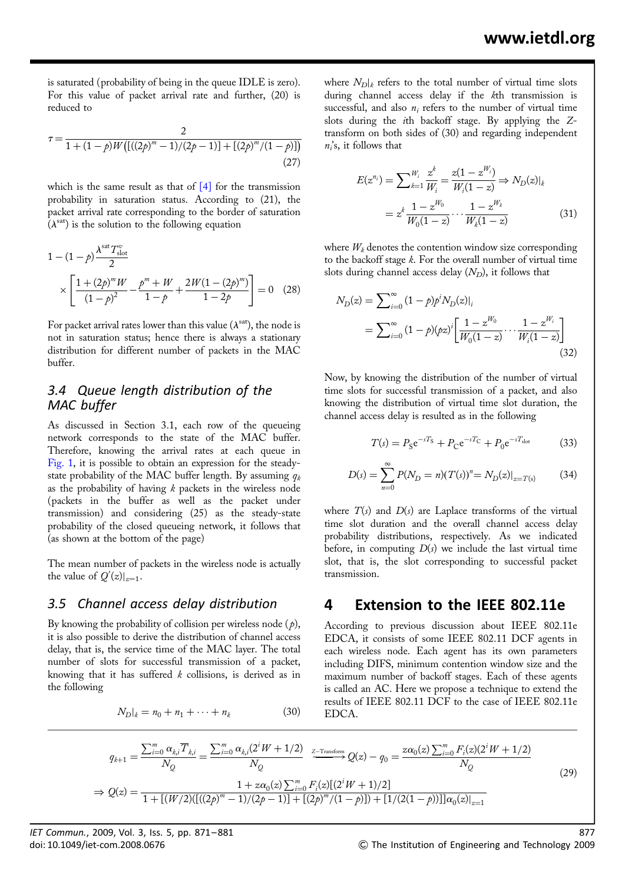is saturated (probability of being in the queue IDLE is zero). For this value of packet arrival rate and further, (20) is reduced to

$$
\tau = \frac{2}{1 + (1 - p)W\left(\left[\left((2p)^m - 1\right)/(2p - 1)\right] + \left[(2p)^m/(1 - p)\right]\right)}
$$
\n(27)

which is the same result as that of  $[4]$  for the transmission probability in saturation status. According to (21), the packet arrival rate corresponding to the border of saturation  $(\lambda^{\text{sat}})$  is the solution to the following equation

$$
1 - (1 - p) \frac{\lambda^{sat} T_{\text{slot}}^v}{2}
$$
  
 
$$
\times \left[ \frac{1 + (2p)^m W}{(1 - p)^2} - \frac{p^m + W}{1 - p} + \frac{2W(1 - (2p)^m)}{1 - 2p} \right] = 0
$$
 (28)

For packet arrival rates lower than this value ( $\lambda^{\text{sat}}$ ), the node is not in saturation status; hence there is always a stationary distribution for different number of packets in the MAC buffer.

#### 3.4 Queue length distribution of the MAC buffer

As discussed in Section 3.1, each row of the queueing network corresponds to the state of the MAC buffer. Therefore, knowing the arrival rates at each queue in Fig. 1, it is possible to obtain an expression for the steadystate probability of the MAC buffer length. By assuming  $q_k$ as the probability of having  $k$  packets in the wireless node (packets in the buffer as well as the packet under transmission) and considering (25) as the steady-state probability of the closed queueing network, it follows that (as shown at the bottom of the page)

The mean number of packets in the wireless node is actually the value of  $Q'(z)|_{z=1}$ .

#### 3.5 Channel access delay distribution

By knowing the probability of collision per wireless node  $(p)$ , it is also possible to derive the distribution of channel access delay, that is, the service time of the MAC layer. The total number of slots for successful transmission of a packet, knowing that it has suffered  $k$  collisions, is derived as in the following

$$
N_D|_{k} = n_0 + n_1 + \dots + n_k \tag{30}
$$

where  $N_{D|k}$  refers to the total number of virtual time slots during channel access delay if the kth transmission is successful, and also  $n_i$  refers to the number of virtual time slots during the ith backoff stage. By applying the Ztransform on both sides of (30) and regarding independent  $n_i$ 's, it follows that

$$
E(z^{n_i}) = \sum_{k=1}^{W_i} \frac{z^k}{W_i} = \frac{z(1 - z^{W_i})}{W_i(1 - z)} \Rightarrow N_D(z)|_k
$$
  
=  $z^k \frac{1 - z^{W_0}}{W_0(1 - z)} \cdots \frac{1 - z^{W_k}}{W_k(1 - z)}$  (31)

where  $W_k$  denotes the contention window size corresponding to the backoff stage k. For the overall number of virtual time slots during channel access delay  $(N_D)$ , it follows that

$$
N_D(z) = \sum_{i=0}^{\infty} (1 - p)p^i N_D(z)|_i
$$
  
= 
$$
\sum_{i=0}^{\infty} (1 - p)(pz)^i \left[ \frac{1 - z^{W_0}}{W_0(1 - z)} \cdots \frac{1 - z^{W_i}}{W_i(1 - z)} \right]
$$
(32)

Now, by knowing the distribution of the number of virtual time slots for successful transmission of a packet, and also knowing the distribution of virtual time slot duration, the channel access delay is resulted as in the following

$$
T(s) = P_{\rm S} e^{-sT_{\rm S}} + P_{\rm C} e^{-sT_{\rm C}} + P_0 e^{-sT_{\rm slot}}
$$
 (33)

$$
D(s) = \sum_{n=0}^{\infty} P(N_D = n)(T(s))^n = N_D(z)|_{z = T(s)}
$$
(34)

where  $T(s)$  and  $D(s)$  are Laplace transforms of the virtual time slot duration and the overall channel access delay probability distributions, respectively. As we indicated before, in computing  $D(s)$  we include the last virtual time slot, that is, the slot corresponding to successful packet transmission.

## 4 Extension to the IEEE 802.11e

According to previous discussion about IEEE 802.11e EDCA, it consists of some IEEE 802.11 DCF agents in each wireless node. Each agent has its own parameters including DIFS, minimum contention window size and the maximum number of backoff stages. Each of these agents is called an AC. Here we propose a technique to extend the results of IEEE 802.11 DCF to the case of IEEE 802.11e EDCA.

$$
q_{k+1} = \frac{\sum_{i=0}^{m} \alpha_{k,i} \overline{T}_{k,i}}{N_Q} = \frac{\sum_{i=0}^{m} \alpha_{k,i} (2^i W + 1/2)}{N_Q} \xrightarrow{z-\text{Transform}} Q(z) - q_0 = \frac{z\alpha_0(z) \sum_{i=0}^{m} F_i(z) (2^i W + 1/2)}{N_Q}
$$
  
\n
$$
\Rightarrow Q(z) = \frac{1 + z\alpha_0(z) \sum_{i=0}^{m} F_i(z) [(2^i W + 1)/2]}{1 + [(W/2)([((2p)^m - 1)/(2p - 1)] + [(2p)^m/(1 - p)]) + [1/(2(1 - p))]]\alpha_0(z)|_{z=1}}
$$
\n(29)

#### doi: 10.1049/iet-com.2008.0676 & The Institution of Engineering and Technology 2009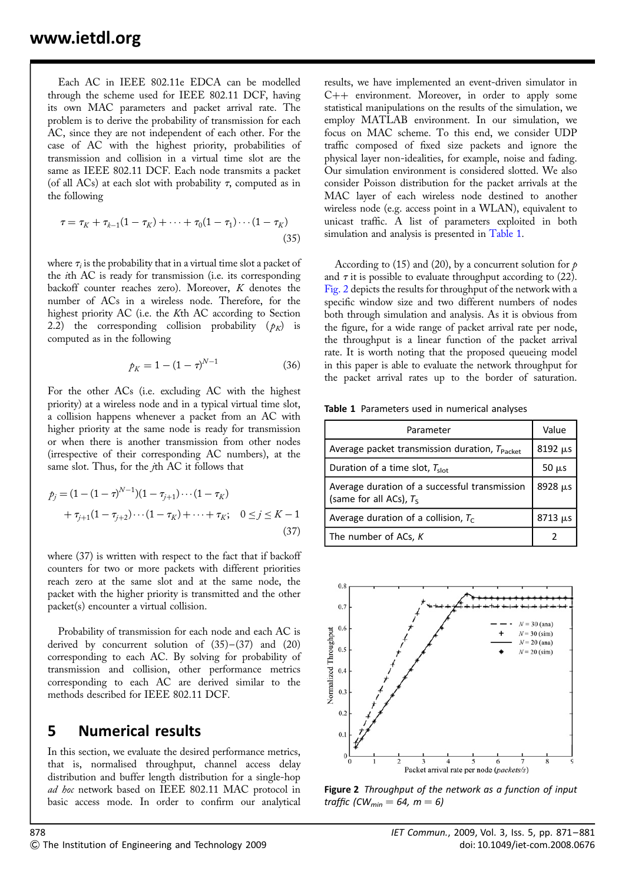Each AC in IEEE 802.11e EDCA can be modelled through the scheme used for IEEE 802.11 DCF, having its own MAC parameters and packet arrival rate. The problem is to derive the probability of transmission for each AC, since they are not independent of each other. For the case of AC with the highest priority, probabilities of transmission and collision in a virtual time slot are the same as IEEE 802.11 DCF. Each node transmits a packet (of all ACs) at each slot with probability  $\tau$ , computed as in the following

$$
\tau = \tau_K + \tau_{k-1}(1 - \tau_K) + \dots + \tau_0(1 - \tau_1)\cdots(1 - \tau_K)
$$
\n(35)

where  $\tau_i$  is the probability that in a virtual time slot a packet of the ith AC is ready for transmission (i.e. its corresponding backoff counter reaches zero). Moreover, K denotes the number of ACs in a wireless node. Therefore, for the highest priority AC (i.e. the Kth AC according to Section 2.2) the corresponding collision probability  $(p_K)$  is computed as in the following

$$
p_K = 1 - (1 - \tau)^{N-1} \tag{36}
$$

For the other ACs (i.e. excluding AC with the highest priority) at a wireless node and in a typical virtual time slot, a collision happens whenever a packet from an AC with higher priority at the same node is ready for transmission or when there is another transmission from other nodes (irrespective of their corresponding AC numbers), at the same slot. Thus, for the jth AC it follows that

$$
p_j = (1 - (1 - \tau)^{N-1})(1 - \tau_{j+1}) \cdots (1 - \tau_K)
$$
  
+  $\tau_{j+1}(1 - \tau_{j+2}) \cdots (1 - \tau_K) + \cdots + \tau_K; \quad 0 \le j \le K - 1$  (37)

where (37) is written with respect to the fact that if backoff counters for two or more packets with different priorities reach zero at the same slot and at the same node, the packet with the higher priority is transmitted and the other packet(s) encounter a virtual collision.

Probability of transmission for each node and each AC is derived by concurrent solution of  $(35)$  –  $(37)$  and  $(20)$ corresponding to each AC. By solving for probability of transmission and collision, other performance metrics corresponding to each AC are derived similar to the methods described for IEEE 802.11 DCF.

## 5 Numerical results

In this section, we evaluate the desired performance metrics, that is, normalised throughput, channel access delay distribution and buffer length distribution for a single-hop ad hoc network based on IEEE 802.11 MAC protocol in basic access mode. In order to confirm our analytical results, we have implemented an event-driven simulator in  $C++$  environment. Moreover, in order to apply some statistical manipulations on the results of the simulation, we employ MATLAB environment. In our simulation, we focus on MAC scheme. To this end, we consider UDP traffic composed of fixed size packets and ignore the physical layer non-idealities, for example, noise and fading. Our simulation environment is considered slotted. We also consider Poisson distribution for the packet arrivals at the MAC layer of each wireless node destined to another wireless node (e.g. access point in a WLAN), equivalent to unicast traffic. A list of parameters exploited in both simulation and analysis is presented in Table 1.

According to (15) and (20), by a concurrent solution for  $p$ and  $\tau$  it is possible to evaluate throughput according to (22). Fig. 2 depicts the results for throughput of the network with a specific window size and two different numbers of nodes both through simulation and analysis. As it is obvious from the figure, for a wide range of packet arrival rate per node, the throughput is a linear function of the packet arrival rate. It is worth noting that the proposed queueing model in this paper is able to evaluate the network throughput for the packet arrival rates up to the border of saturation.

Table 1 Parameters used in numerical analyses

| Parameter                                                                  | Value        |
|----------------------------------------------------------------------------|--------------|
| Average packet transmission duration, $T_{\text{packet}}$                  | 8192 µs      |
| Duration of a time slot, $T_{slot}$                                        | $50 \mu s$   |
| Average duration of a successful transmission<br>(same for all ACs), $T_s$ | 8928 µs      |
| Average duration of a collision, $T_c$                                     | $8713 \mu s$ |
| The number of ACs, K                                                       |              |



Figure 2 Throughput of the network as a function of input traffic (CW<sub>min</sub> = 64, m = 6)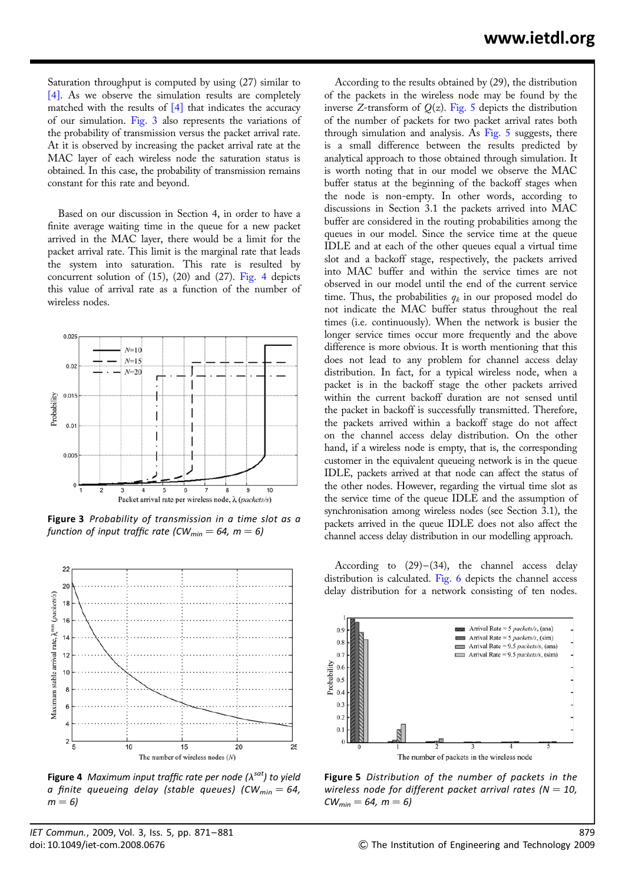Saturation throughput is computed by using (27) similar to [4]. As we observe the simulation results are completely matched with the results of  $[4]$  that indicates the accuracy of our simulation. Fig. 3 also represents the variations of the probability of transmission versus the packet arrival rate. At it is observed by increasing the packet arrival rate at the MAC layer of each wireless node the saturation status is obtained. In this case, the probability of transmission remains constant for this rate and beyond.

Based on our discussion in Section 4, in order to have a finite average waiting time in the queue for a new packet arrived in the MAC layer, there would be a limit for the packet arrival rate. This limit is the marginal rate that leads the system into saturation. This rate is resulted by concurrent solution of  $(15)$ ,  $(20)$  and  $(27)$ . Fig. 4 depicts this value of arrival rate as a function of the number of wireless nodes.



Figure 3 Probability of transmission in a time slot as a function of input traffic rate (CW<sub>min</sub> = 64, m = 6)



Figure 4 Maximum input traffic rate per node ( $\lambda^{sat}$ ) to yield a finite queueing delay (stable queues) (CW<sub>min</sub> = 64,  $m = 6$ )

According to the results obtained by (29), the distribution of the packets in the wireless node may be found by the inverse Z-transform of  $Q(z)$ . Fig. 5 depicts the distribution of the number of packets for two packet arrival rates both through simulation and analysis. As  $Fig. 5$  suggests, there is a small difference between the results predicted by analytical approach to those obtained through simulation. It is worth noting that in our model we observe the MAC buffer status at the beginning of the backoff stages when the node is non-empty. In other words, according to discussions in Section 3.1 the packets arrived into MAC buffer are considered in the routing probabilities among the queues in our model. Since the service time at the queue IDLE and at each of the other queues equal a virtual time slot and a backoff stage, respectively, the packets arrived into MAC buffer and within the service times are not observed in our model until the end of the current service time. Thus, the probabilities  $q_k$  in our proposed model do not indicate the MAC buffer status throughout the real times (i.e. continuously). When the network is busier the longer service times occur more frequently and the above difference is more obvious. It is worth mentioning that this does not lead to any problem for channel access delay distribution. In fact, for a typical wireless node, when a packet is in the backoff stage the other packets arrived within the current backoff duration are not sensed until the packet in backoff is successfully transmitted. Therefore, the packets arrived within a backoff stage do not affect on the channel access delay distribution. On the other hand, if a wireless node is empty, that is, the corresponding customer in the equivalent queueing network is in the queue IDLE, packets arrived at that node can affect the status of the other nodes. However, regarding the virtual time slot as the service time of the queue IDLE and the assumption of synchronisation among wireless nodes (see Section 3.1), the packets arrived in the queue IDLE does not also affect the channel access delay distribution in our modelling approach.

According to  $(29)$ – $(34)$ , the channel access delay distribution is calculated. Fig. 6 depicts the channel access delay distribution for a network consisting of ten nodes.



Figure 5 Distribution of the number of packets in the wireless node for different packet arrival rates ( $N = 10$ ,  $CW_{min} = 64$ ,  $m = 6$ )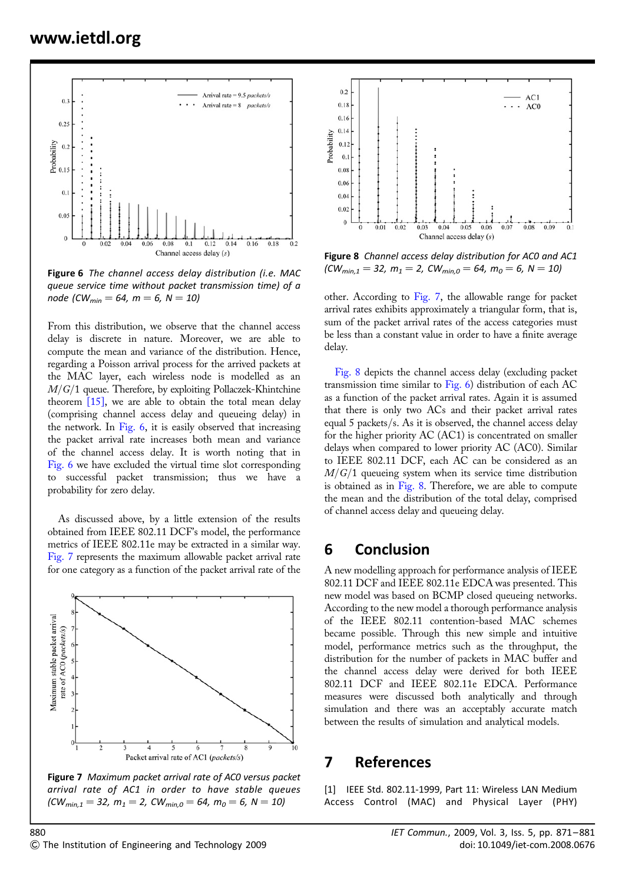# www.ietdl.org



Figure 6 The channel access delay distribution (i.e. MAC queue service time without packet transmission time) of a node (CW<sub>min</sub> = 64, m = 6, N = 10)

From this distribution, we observe that the channel access delay is discrete in nature. Moreover, we are able to compute the mean and variance of the distribution. Hence, regarding a Poisson arrival process for the arrived packets at the MAC layer, each wireless node is modelled as an  $M/G/1$  queue. Therefore, by exploiting Pollaczek-Khintchine theorem [15], we are able to obtain the total mean delay (comprising channel access delay and queueing delay) in the network. In Fig. 6, it is easily observed that increasing the packet arrival rate increases both mean and variance of the channel access delay. It is worth noting that in Fig. 6 we have excluded the virtual time slot corresponding to successful packet transmission; thus we have a probability for zero delay.

As discussed above, by a little extension of the results obtained from IEEE 802.11 DCF's model, the performance metrics of IEEE 802.11e may be extracted in a similar way. Fig. 7 represents the maximum allowable packet arrival rate for one category as a function of the packet arrival rate of the



Figure 7 Maximum packet arrival rate of AC0 versus packet arrival rate of AC1 in order to have stable queues  $(CW_{min,1} = 32, m_1 = 2, CW_{min,0} = 64, m_0 = 6, N = 10)$ 



Figure 8 Channel access delay distribution for AC0 and AC1  $(CW_{min,1} = 32, m_1 = 2, CW_{min,0} = 64, m_0 = 6, N = 10)$ 

other. According to Fig. 7, the allowable range for packet arrival rates exhibits approximately a triangular form, that is, sum of the packet arrival rates of the access categories must be less than a constant value in order to have a finite average delay.

Fig. 8 depicts the channel access delay (excluding packet transmission time similar to Fig. 6) distribution of each AC as a function of the packet arrival rates. Again it is assumed that there is only two ACs and their packet arrival rates equal 5 packets/s. As it is observed, the channel access delay for the higher priority AC (AC1) is concentrated on smaller delays when compared to lower priority AC (AC0). Similar to IEEE 802.11 DCF, each AC can be considered as an  $M/G/1$  queueing system when its service time distribution is obtained as in Fig. 8. Therefore, we are able to compute the mean and the distribution of the total delay, comprised of channel access delay and queueing delay.

# 6 Conclusion

A new modelling approach for performance analysis of IEEE 802.11 DCF and IEEE 802.11e EDCA was presented. This new model was based on BCMP closed queueing networks. According to the new model a thorough performance analysis of the IEEE 802.11 contention-based MAC schemes became possible. Through this new simple and intuitive model, performance metrics such as the throughput, the distribution for the number of packets in MAC buffer and the channel access delay were derived for both IEEE 802.11 DCF and IEEE 802.11e EDCA. Performance measures were discussed both analytically and through simulation and there was an acceptably accurate match between the results of simulation and analytical models.

# 7 References

[1] IEEE Std. 802.11-1999, Part 11: Wireless LAN Medium Access Control (MAC) and Physical Layer (PHY)